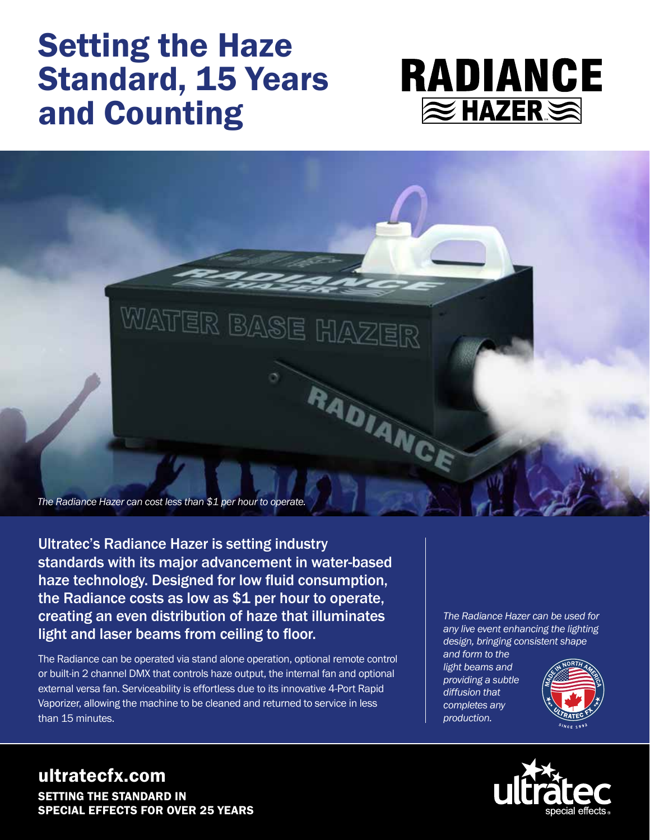# Setting the Haze Standard, 15 Years and Counting





Ultratec's Radiance Hazer is setting industry standards with its major advancement in water-based haze technology. Designed for low fluid consumption, the Radiance costs as low as \$1 per hour to operate, creating an even distribution of haze that illuminates light and laser beams from ceiling to floor.

The Radiance can be operated via stand alone operation, optional remote control or built-in 2 channel DMX that controls haze output, the internal fan and optional external versa fan. Serviceability is effortless due to its innovative 4-Port Rapid Vaporizer, allowing the machine to be cleaned and returned to service in less than 15 minutes.

*The Radiance Hazer can be used for any live event enhancing the lighting design, bringing consistent shape* 

*and form to the light beams and providing a subtle diffusion that completes any production.*





### ultratecfx.com SETTING THE STANDARD IN SPECIAL EFFECTS FOR OVER 25 YEARS